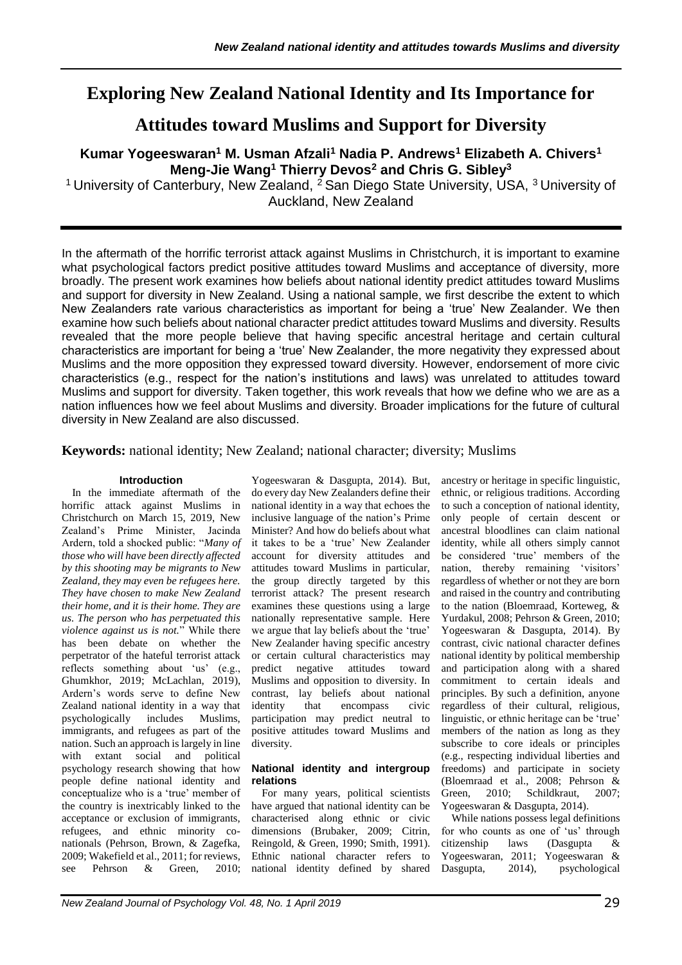# **Exploring New Zealand National Identity and Its Importance for**

# **Attitudes toward Muslims and Support for Diversity**

# **Kumar Yogeeswaran<sup>1</sup> M. Usman Afzali<sup>1</sup> Nadia P. Andrews<sup>1</sup> Elizabeth A. Chivers<sup>1</sup> Meng-Jie Wang<sup>1</sup> Thierry Devos<sup>2</sup> and Chris G. Sibley<sup>3</sup>**

<sup>1</sup> University of Canterbury, New Zealand,  $^2$  San Diego State University, USA,  $^3$  University of Auckland, New Zealand

In the aftermath of the horrific terrorist attack against Muslims in Christchurch, it is important to examine what psychological factors predict positive attitudes toward Muslims and acceptance of diversity, more broadly. The present work examines how beliefs about national identity predict attitudes toward Muslims and support for diversity in New Zealand. Using a national sample, we first describe the extent to which New Zealanders rate various characteristics as important for being a 'true' New Zealander. We then examine how such beliefs about national character predict attitudes toward Muslims and diversity. Results revealed that the more people believe that having specific ancestral heritage and certain cultural characteristics are important for being a 'true' New Zealander, the more negativity they expressed about Muslims and the more opposition they expressed toward diversity. However, endorsement of more civic characteristics (e.g., respect for the nation's institutions and laws) was unrelated to attitudes toward Muslims and support for diversity. Taken together, this work reveals that how we define who we are as a nation influences how we feel about Muslims and diversity. Broader implications for the future of cultural diversity in New Zealand are also discussed.

**Keywords:** national identity; New Zealand; national character; diversity; Muslims

### **Introduction**

In the immediate aftermath of the horrific attack against Muslims in Christchurch on March 15, 2019, New Zealand's Prime Minister, Jacinda Ardern, told a shocked public: "*Many of those who will have been directly affected by this shooting may be migrants to New Zealand, they may even be refugees here. They have chosen to make New Zealand their home, and it is their home. They are us. The person who has perpetuated this violence against us is not.*" While there has been debate on whether the perpetrator of the hateful terrorist attack reflects something about 'us' (e.g., Ghumkhor, 2019; McLachlan, 2019), Ardern's words serve to define New Zealand national identity in a way that psychologically includes Muslims, immigrants, and refugees as part of the nation. Such an approach is largely in line with extant social and political psychology research showing that how people define national identity and conceptualize who is a 'true' member of the country is inextricably linked to the acceptance or exclusion of immigrants, refugees, and ethnic minority conationals (Pehrson, Brown, & Zagefka, 2009; Wakefield et al., 2011; for reviews, see Pehrson & Green, 2010;

Yogeeswaran & Dasgupta, 2014). But, do every day New Zealanders define their national identity in a way that echoes the inclusive language of the nation's Prime Minister? And how do beliefs about what it takes to be a 'true' New Zealander account for diversity attitudes and attitudes toward Muslims in particular, the group directly targeted by this terrorist attack? The present research examines these questions using a large nationally representative sample. Here we argue that lay beliefs about the 'true' New Zealander having specific ancestry or certain cultural characteristics may predict negative attitudes toward Muslims and opposition to diversity. In contrast, lay beliefs about national identity that encompass civic participation may predict neutral to positive attitudes toward Muslims and diversity.

#### **National identity and intergroup relations**

For many years, political scientists have argued that national identity can be characterised along ethnic or civic dimensions (Brubaker, 2009; Citrin, Reingold, & Green, 1990; Smith, 1991). Ethnic national character refers to national identity defined by shared

ancestry or heritage in specific linguistic, ethnic, or religious traditions. According to such a conception of national identity, only people of certain descent or ancestral bloodlines can claim national identity, while all others simply cannot be considered 'true' members of the nation, thereby remaining 'visitors' regardless of whether or not they are born and raised in the country and contributing to the nation (Bloemraad, Korteweg, & Yurdakul, 2008; Pehrson & Green, 2010; Yogeeswaran & Dasgupta, 2014). By contrast, civic national character defines national identity by political membership and participation along with a shared commitment to certain ideals and principles. By such a definition, anyone regardless of their cultural, religious, linguistic, or ethnic heritage can be 'true' members of the nation as long as they subscribe to core ideals or principles (e.g., respecting individual liberties and freedoms) and participate in society (Bloemraad et al., 2008; Pehrson & Green, 2010; Schildkraut, 2007; Yogeeswaran & Dasgupta, 2014).

While nations possess legal definitions for who counts as one of 'us' through citizenship laws (Dasgupta & Yogeeswaran, 2011; Yogeeswaran & Dasgupta, 2014), psychological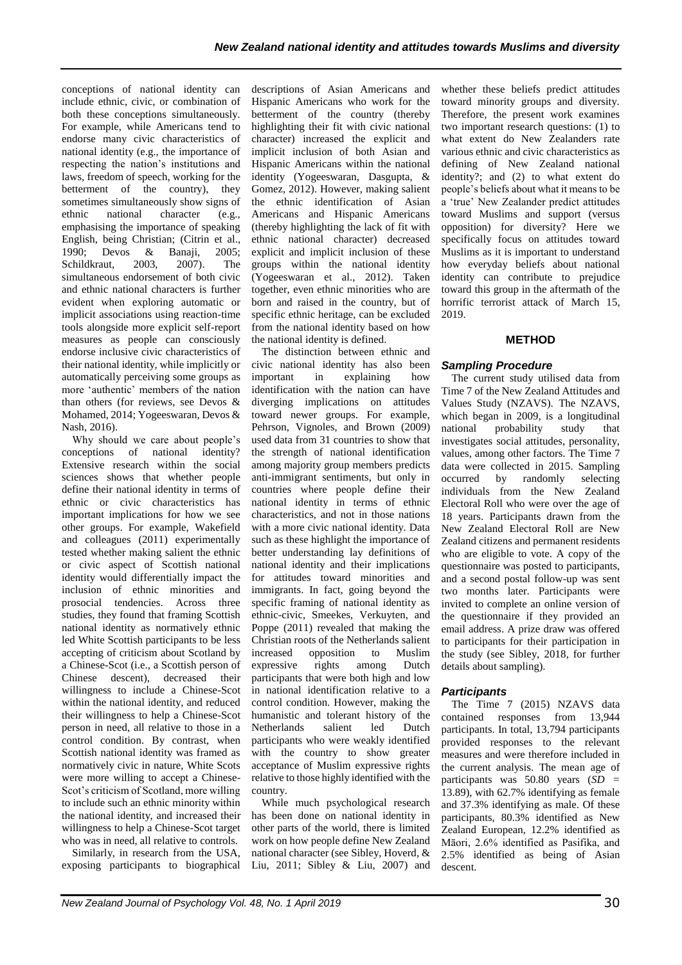conceptions of national identity can include ethnic, civic, or combination of both these conceptions simultaneously. For example, while Americans tend to endorse many civic characteristics of national identity (e.g., the importance of respecting the nation's institutions and laws, freedom of speech, working for the betterment of the country), they sometimes simultaneously show signs of ethnic national character (e.g., emphasising the importance of speaking English, being Christian; (Citrin et al., 1990; Devos & Banaji, 2005; Schildkraut, 2003, 2007). The simultaneous endorsement of both civic and ethnic national characters is further evident when exploring automatic or implicit associations using reaction-time tools alongside more explicit self-report measures as people can consciously endorse inclusive civic characteristics of their national identity, while implicitly or automatically perceiving some groups as more 'authentic' members of the nation than others (for reviews, see Devos & Mohamed, 2014; Yogeeswaran, Devos & Nash, 2016).

Why should we care about people's conceptions of national identity? Extensive research within the social sciences shows that whether people define their national identity in terms of ethnic or civic characteristics has important implications for how we see other groups. For example, Wakefield and colleagues (2011) experimentally tested whether making salient the ethnic or civic aspect of Scottish national identity would differentially impact the inclusion of ethnic minorities and prosocial tendencies. Across three studies, they found that framing Scottish national identity as normatively ethnic led White Scottish participants to be less accepting of criticism about Scotland by a Chinese-Scot (i.e., a Scottish person of Chinese descent), decreased their willingness to include a Chinese-Scot within the national identity, and reduced their willingness to help a Chinese-Scot person in need, all relative to those in a control condition. By contrast, when Scottish national identity was framed as normatively civic in nature, White Scots were more willing to accept a Chinese-Scot's criticism of Scotland, more willing to include such an ethnic minority within the national identity, and increased their willingness to help a Chinese-Scot target who was in need, all relative to controls.

Similarly, in research from the USA, exposing participants to biographical

descriptions of Asian Americans and Hispanic Americans who work for the betterment of the country (thereby highlighting their fit with civic national character) increased the explicit and implicit inclusion of both Asian and Hispanic Americans within the national identity (Yogeeswaran, Dasgupta, & Gomez, 2012). However, making salient the ethnic identification of Asian Americans and Hispanic Americans (thereby highlighting the lack of fit with ethnic national character) decreased explicit and implicit inclusion of these groups within the national identity (Yogeeswaran et al., 2012). Taken together, even ethnic minorities who are born and raised in the country, but of specific ethnic heritage, can be excluded from the national identity based on how the national identity is defined.

The distinction between ethnic and civic national identity has also been important in explaining how identification with the nation can have diverging implications on attitudes toward newer groups. For example, Pehrson, Vignoles, and Brown (2009) used data from 31 countries to show that the strength of national identification among majority group members predicts anti-immigrant sentiments, but only in countries where people define their national identity in terms of ethnic characteristics, and not in those nations with a more civic national identity. Data such as these highlight the importance of better understanding lay definitions of national identity and their implications for attitudes toward minorities and immigrants. In fact, going beyond the specific framing of national identity as ethnic-civic, Smeekes, Verkuyten, and Poppe (2011) revealed that making the Christian roots of the Netherlands salient increased opposition to Muslim expressive rights among Dutch participants that were both high and low in national identification relative to a control condition. However, making the humanistic and tolerant history of the Netherlands salient led Dutch participants who were weakly identified with the country to show greater acceptance of Muslim expressive rights relative to those highly identified with the country.

While much psychological research has been done on national identity in other parts of the world, there is limited work on how people define New Zealand national character (see Sibley, Hoverd, & Liu, 2011; Sibley & Liu, 2007) and whether these beliefs predict attitudes toward minority groups and diversity. Therefore, the present work examines two important research questions: (1) to what extent do New Zealanders rate various ethnic and civic characteristics as defining of New Zealand national identity?; and (2) to what extent do people's beliefs about what it means to be a 'true' New Zealander predict attitudes toward Muslims and support (versus opposition) for diversity? Here we specifically focus on attitudes toward Muslims as it is important to understand how everyday beliefs about national identity can contribute to prejudice toward this group in the aftermath of the horrific terrorist attack of March 15, 2019.

# **METHOD**

# *Sampling Procedure*

The current study utilised data from Time 7 of the New Zealand Attitudes and Values Study (NZAVS). The NZAVS, which began in 2009, is a longitudinal national probability study that investigates social attitudes, personality, values, among other factors. The Time 7 data were collected in 2015. Sampling occurred by randomly selecting individuals from the New Zealand Electoral Roll who were over the age of 18 years. Participants drawn from the New Zealand Electoral Roll are New Zealand citizens and permanent residents who are eligible to vote. A copy of the questionnaire was posted to participants, and a second postal follow-up was sent two months later. Participants were invited to complete an online version of the questionnaire if they provided an email address. A prize draw was offered to participants for their participation in the study (see Sibley, 2018, for further details about sampling).

# *Participants*

The Time 7 (2015) NZAVS data contained responses from 13,944 participants. In total, 13,794 participants provided responses to the relevant measures and were therefore included in the current analysis. The mean age of participants was 50.80 years (*SD =* 13.89), with  $62.7\%$  identifying as female and 37.3% identifying as male. Of these participants, 80.3% identified as New Zealand European, 12.2% identified as Māori, 2.6% identified as Pasifika, and 2.5% identified as being of Asian descent.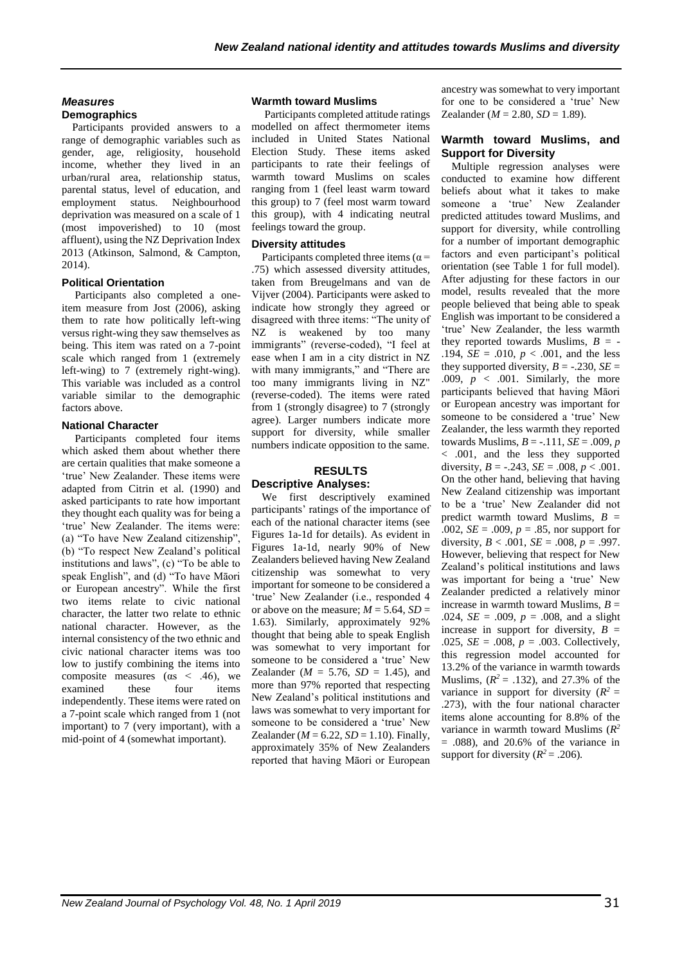### *Measures* **Demographics**

Participants provided answers to a range of demographic variables such as gender, age, religiosity, household income, whether they lived in an urban/rural area, relationship status, parental status, level of education, and employment status. Neighbourhood deprivation was measured on a scale of 1 (most impoverished) to 10 (most affluent), using the NZ Deprivation Index 2013 (Atkinson, Salmond, & Campton, 2014).

#### **Political Orientation**

Participants also completed a oneitem measure from Jost (2006), asking them to rate how politically left-wing versus right-wing they saw themselves as being. This item was rated on a 7-point scale which ranged from 1 (extremely left-wing) to 7 (extremely right-wing). This variable was included as a control variable similar to the demographic factors above.

#### **National Character**

Participants completed four items which asked them about whether there are certain qualities that make someone a 'true' New Zealander. These items were adapted from Citrin et al. (1990) and asked participants to rate how important they thought each quality was for being a 'true' New Zealander. The items were: (a) "To have New Zealand citizenship", (b) "To respect New Zealand's political institutions and laws", (c) "To be able to speak English", and (d) "To have Māori or European ancestry". While the first two items relate to civic national character, the latter two relate to ethnic national character. However, as the internal consistency of the two ethnic and civic national character items was too low to justify combining the items into composite measures ( $\alpha$ s < .46), we examined these four items independently. These items were rated on a 7-point scale which ranged from 1 (not important) to 7 (very important), with a mid-point of 4 (somewhat important).

#### **Warmth toward Muslims**

Participants completed attitude ratings modelled on affect thermometer items included in United States National Election Study. These items asked participants to rate their feelings of warmth toward Muslims on scales ranging from 1 (feel least warm toward this group) to 7 (feel most warm toward this group), with 4 indicating neutral feelings toward the group.

#### **Diversity attitudes**

Participants completed three items ( $\alpha$  = .75) which assessed diversity attitudes, taken from Breugelmans and van de Vijver (2004). Participants were asked to indicate how strongly they agreed or disagreed with three items: "The unity of NZ is weakened by too many immigrants" (reverse-coded), "I feel at ease when I am in a city district in NZ with many immigrants," and "There are too many immigrants living in NZ" (reverse-coded). The items were rated from 1 (strongly disagree) to 7 (strongly agree). Larger numbers indicate more support for diversity, while smaller numbers indicate opposition to the same.

#### **RESULTS Descriptive Analyses:**

We first descriptively examined participants' ratings of the importance of each of the national character items (see Figures 1a-1d for details). As evident in Figures 1a-1d, nearly 90% of New Zealanders believed having New Zealand citizenship was somewhat to very important for someone to be considered a 'true' New Zealander (i.e., responded 4 or above on the measure;  $M = 5.64$ ,  $SD =$ 1.63). Similarly, approximately 92% thought that being able to speak English was somewhat to very important for someone to be considered a 'true' New Zealander ( $M = 5.76$ ,  $SD = 1.45$ ), and more than 97% reported that respecting New Zealand's political institutions and laws was somewhat to very important for someone to be considered a 'true' New Zealander ( $M = 6.22$ ,  $SD = 1.10$ ). Finally, approximately 35% of New Zealanders reported that having Māori or European

ancestry was somewhat to very important for one to be considered a 'true' New Zealander ( $M = 2.80$ ,  $SD = 1.89$ ).

#### **Warmth toward Muslims, and Support for Diversity**

Multiple regression analyses were conducted to examine how different beliefs about what it takes to make someone a 'true' New Zealander predicted attitudes toward Muslims, and support for diversity, while controlling for a number of important demographic factors and even participant's political orientation (see Table 1 for full model). After adjusting for these factors in our model, results revealed that the more people believed that being able to speak English was important to be considered a 'true' New Zealander, the less warmth they reported towards Muslims,  $B = -$ .194,  $SE = .010$ ,  $p < .001$ , and the less they supported diversity,  $B = -.230$ ,  $SE =$ .009,  $p < .001$ . Similarly, the more participants believed that having Māori or European ancestry was important for someone to be considered a 'true' New Zealander, the less warmth they reported towards Muslims,  $B = -.111$ ,  $SE = .009$ , *p* < .001, and the less they supported diversity,  $B = -.243$ ,  $SE = .008$ ,  $p < .001$ . On the other hand, believing that having New Zealand citizenship was important to be a 'true' New Zealander did not predict warmth toward Muslims, *B* = .002, *SE* = .009, *p* = .85, nor support for diversity,  $B < .001$ ,  $SE = .008$ ,  $p = .997$ . However, believing that respect for New Zealand's political institutions and laws was important for being a 'true' New Zealander predicted a relatively minor increase in warmth toward Muslims, *B* = .024,  $SE = .009$ ,  $p = .008$ , and a slight increase in support for diversity,  $B =$ .025,  $SE = .008$ ,  $p = .003$ . Collectively, this regression model accounted for 13.2% of the variance in warmth towards Muslims,  $(R^2 = .132)$ , and 27.3% of the variance in support for diversity  $(R^2 =$ .273), with the four national character items alone accounting for 8.8% of the variance in warmth toward Muslims ( $R^2$  $= .088$ ), and 20.6% of the variance in support for diversity  $(R^2 = .206)$ .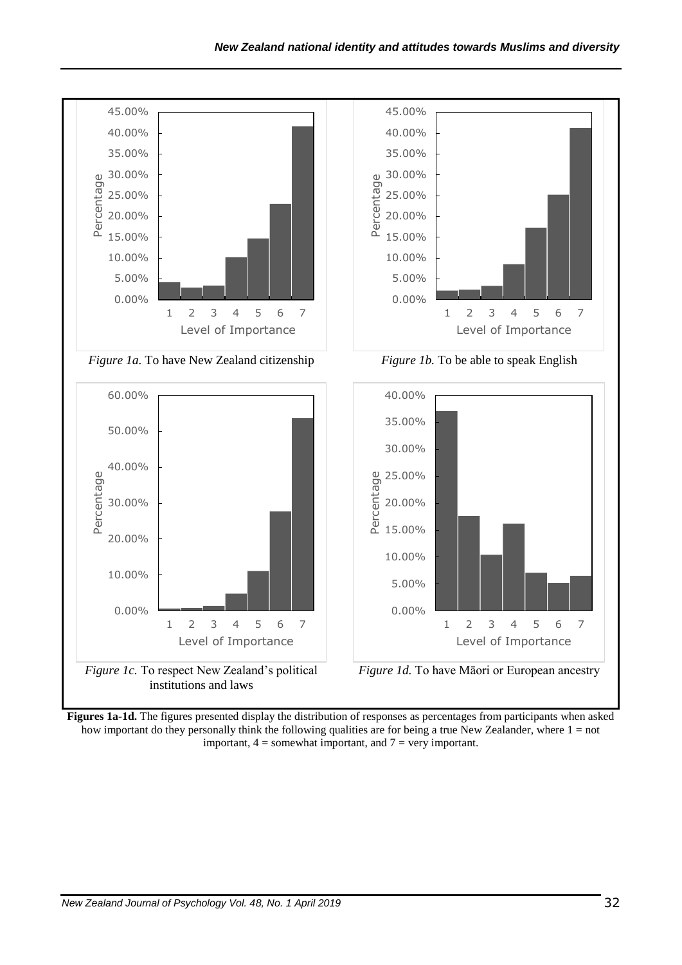

**Figures 1a-1d.** The figures presented display the distribution of responses as percentages from participants when asked how important do they personally think the following qualities are for being a true New Zealander, where 1 = not important,  $4 =$  somewhat important, and  $7 =$  very important.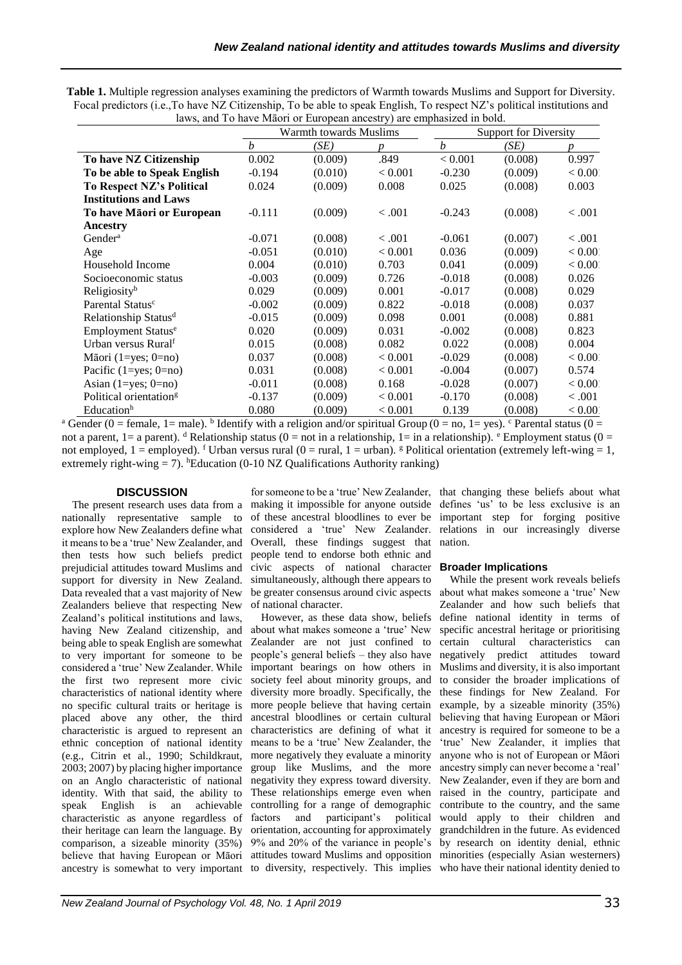|                                    | Warmth towards Muslims |         |                  | <b>Support for Diversity</b> |         |         |
|------------------------------------|------------------------|---------|------------------|------------------------------|---------|---------|
|                                    | $\boldsymbol{b}$       | (SE)    | $\boldsymbol{v}$ | $\boldsymbol{b}$             | (SE)    | D       |
| To have NZ Citizenship             | 0.002                  | (0.009) | .849             | < 0.001                      | (0.008) | 0.997   |
| To be able to Speak English        | $-0.194$               | (0.010) | < 0.001          | $-0.230$                     | (0.009) | < 0.00  |
| To Respect NZ's Political          | 0.024                  | (0.009) | 0.008            | 0.025                        | (0.008) | 0.003   |
| <b>Institutions and Laws</b>       |                        |         |                  |                              |         |         |
| To have Māori or European          | $-0.111$               | (0.009) | < .001           | $-0.243$                     | (0.008) | < .001  |
| Ancestry                           |                        |         |                  |                              |         |         |
| Gender <sup>a</sup>                | $-0.071$               | (0.008) | < 0.001          | $-0.061$                     | (0.007) | < .001  |
| Age                                | $-0.051$               | (0.010) | < 0.001          | 0.036                        | (0.009) | < 0.00  |
| Household Income                   | 0.004                  | (0.010) | 0.703            | 0.041                        | (0.009) | < 0.00  |
| Socioeconomic status               | $-0.003$               | (0.009) | 0.726            | $-0.018$                     | (0.008) | 0.026   |
| Religiosity <sup>b</sup>           | 0.029                  | (0.009) | 0.001            | $-0.017$                     | (0.008) | 0.029   |
| Parental Status <sup>c</sup>       | $-0.002$               | (0.009) | 0.822            | $-0.018$                     | (0.008) | 0.037   |
| Relationship Status <sup>d</sup>   | $-0.015$               | (0.009) | 0.098            | 0.001                        | (0.008) | 0.881   |
| Employment Status <sup>e</sup>     | 0.020                  | (0.009) | 0.031            | $-0.002$                     | (0.008) | 0.823   |
| Urban versus Ruralf                | 0.015                  | (0.008) | 0.082            | 0.022                        | (0.008) | 0.004   |
| Māori (1=yes; $0=no$ )             | 0.037                  | (0.008) | < 0.001          | $-0.029$                     | (0.008) | < 0.00  |
| Pacific $(1 = yes; 0 = no)$        | 0.031                  | (0.008) | < 0.001          | $-0.004$                     | (0.007) | 0.574   |
| Asian $(1 = yes; 0 = no)$          | $-0.011$               | (0.008) | 0.168            | $-0.028$                     | (0.007) | < 0.00  |
| Political orientation <sup>g</sup> | $-0.137$               | (0.009) | < 0.001          | $-0.170$                     | (0.008) | < 0.001 |
| Educationh                         | 0.080                  | (0.009) | < 0.001          | 0.139                        | (0.008) | < 0.00  |

**Table 1.** Multiple regression analyses examining the predictors of Warmth towards Muslims and Support for Diversity. Focal predictors (i.e.,To have NZ Citizenship, To be able to speak English, To respect NZ's political institutions and laws, and To have Māori or European ancestry) are emphasized in bold.

<sup>a</sup> Gender (0 = female, 1 = male). <sup>b</sup> Identify with a religion and/or spiritual Group (0 = no, 1 = yes). <sup>c</sup> Parental status (0 = not a parent,  $1=a$  parent). <sup>d</sup> Relationship status (0 = not in a relationship,  $1=$  in a relationship). <sup>e</sup> Employment status (0 = not employed,  $1 =$  employed). <sup>f</sup> Urban versus rural (0 = rural, 1 = urban). <sup>g</sup> Political orientation (extremely left-wing = 1, extremely right-wing  $= 7$ ).  $^{\text{h}}$ Education (0-10 NZ Qualifications Authority ranking)

# **DISCUSSION**

nationally representative sample to of these ancestral bloodlines to ever be important step for forging positive explore how New Zealanders define what considered a 'true' New Zealander. relations in our increasingly diverse it means to be a 'true' New Zealander, and Overall, these findings suggest that nation. then tests how such beliefs predict people tend to endorse both ethnic and prejudicial attitudes toward Muslims and civic aspects of national character support for diversity in New Zealand. simultaneously, although there appears to Data revealed that a vast majority of New Zealanders believe that respecting New Zealand's political institutions and laws, having New Zealand citizenship, and being able to speak English are somewhat to very important for someone to be considered a 'true' New Zealander. While the first two represent more civic characteristics of national identity where no specific cultural traits or heritage is placed above any other, the third characteristic is argued to represent an characteristics are defining of what it ethnic conception of national identity (e.g., Citrin et al., 1990; Schildkraut, more negatively they evaluate a minority 2003; 2007) by placing higher importance on an Anglo characteristic of national identity. With that said, the ability to speak English is an achievable controlling for a range of demographic characteristic as anyone regardless of their heritage can learn the language. By comparison, a sizeable minority (35%) believe that having European or Māori attitudes toward Muslims and opposition minorities (especially Asian westerners) ancestry is somewhat to very important to diversity, respectively. This implies who have their national identity denied to

The present research uses data from a making it impossible for anyone outside defines 'us' to be less exclusive is an be greater consensus around civic aspects of national character.

> However, as these data show, beliefs about what makes someone a 'true' New Zealander are not just confined to people's general beliefs – they also have important bearings on how others in society feel about minority groups, and to consider the broader implications of diversity more broadly. Specifically, the these findings for New Zealand. For more people believe that having certain ancestral bloodlines or certain cultural means to be a 'true' New Zealander, the group like Muslims, and the more negativity they express toward diversity. These relationships emerge even when raised in the country, participate and factors and participant's political orientation, accounting for approximately 9% and 20% of the variance in people's by research on identity denial, ethnic

> for someone to be a 'true' New Zealander, that changing these beliefs about what

# **Broader Implications**

While the present work reveals beliefs about what makes someone a 'true' New Zealander and how such beliefs that define national identity in terms of specific ancestral heritage or prioritising certain cultural characteristics can negatively predict attitudes toward Muslims and diversity, it is also important example, by a sizeable minority (35%) believing that having European or Māori ancestry is required for someone to be a 'true' New Zealander, it implies that anyone who is not of European or Māori ancestry simply can never become a 'real' New Zealander, even if they are born and contribute to the country, and the same would apply to their children and grandchildren in the future. As evidenced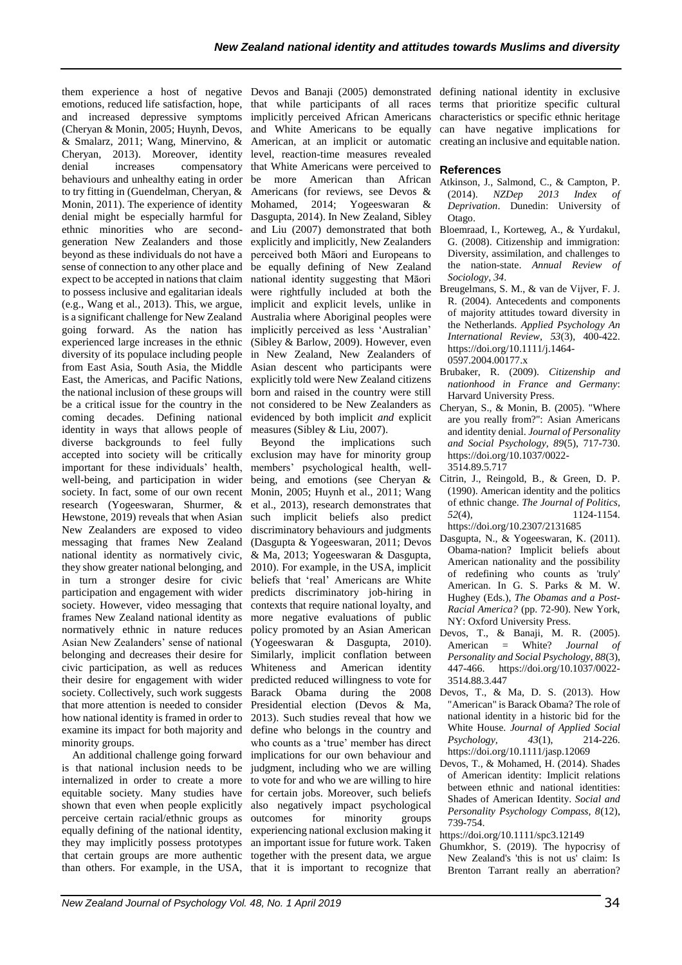them experience a host of negative Devos and Banaji (2005) demonstrated defining national identity in exclusive emotions, reduced life satisfaction, hope, that while participants of all races terms that prioritize specific cultural and increased depressive symptoms implicitly perceived African Americans characteristics or specific ethnic heritage (Cheryan & Monin, 2005; Huynh, Devos, and White Americans to be equally can have negative implications for & Smalarz, 2011; Wang, Minervino, & American, at an implicit or automatic creating an inclusive and equitable nation. Cheryan, 2013). Moreover, identity level, reaction-time measures revealed denial increases compensatory that White Americans were perceived to behaviours and unhealthy eating in order be more American than African to try fitting in (Guendelman, Cheryan, & Americans (for reviews, see Devos & Monin, 2011). The experience of identity Mohamed, 2014; Yogeeswaran & denial might be especially harmful for Dasgupta, 2014). In New Zealand, Sibley ethnic minorities who are second-and Liu (2007) demonstrated that both generation New Zealanders and those explicitly and implicitly, New Zealanders beyond as these individuals do not have a perceived both Māori and Europeans to sense of connection to any other place and be equally defining of New Zealand expect to be accepted in nations that claim national identity suggesting that Māori to possess inclusive and egalitarian ideals (e.g., Wang et al., 2013). This, we argue, is a significant challenge for New Zealand going forward. As the nation has experienced large increases in the ethnic diversity of its populace including people from East Asia, South Asia, the Middle East, the Americas, and Pacific Nations, the national inclusion of these groups will be a critical issue for the country in the coming decades. Defining national identity in ways that allows people of measures (Sibley & Liu, 2007). diverse backgrounds to feel fully accepted into society will be critically exclusion may have for minority group important for these individuals' health, members' psychological health, wellwell-being, and participation in wider being, and emotions (see Cheryan & society. In fact, some of our own recent Monin, 2005; Huynh et al., 2011; Wang research (Yogeeswaran, Shurmer, & et al., 2013), research demonstrates that Hewstone, 2019) reveals that when Asian such implicit beliefs also predict New Zealanders are exposed to video discriminatory behaviours and judgments messaging that frames New Zealand (Dasgupta & Yogeeswaran, 2011; Devos national identity as normatively civic, & Ma, 2013; Yogeeswaran & Dasgupta, they show greater national belonging, and 2010). For example, in the USA, implicit in turn a stronger desire for civic beliefs that 'real' Americans are White participation and engagement with wider predicts discriminatory job-hiring in society. However, video messaging that contexts that require national loyalty, and frames New Zealand national identity as more negative evaluations of public normatively ethnic in nature reduces Asian New Zealanders' sense of national belonging and decreases their desire for civic participation, as well as reduces their desire for engagement with wider society. Collectively, such work suggests that more attention is needed to consider how national identity is framed in order to examine its impact for both majority and minority groups.

An additional challenge going forward is that national inclusion needs to be internalized in order to create a more to vote for and who we are willing to hire equitable society. Many studies have shown that even when people explicitly perceive certain racial/ethnic groups as equally defining of the national identity, they may implicitly possess prototypes that certain groups are more authentic than others. For example, in the USA, that it is important to recognize that

were rightfully included at both the implicit and explicit levels, unlike in Australia where Aboriginal peoples were implicitly perceived as less 'Australian' (Sibley & Barlow, 2009). However, even in New Zealand, New Zealanders of Asian descent who participants were explicitly told were New Zealand citizens born and raised in the country were still not considered to be New Zealanders as evidenced by both implicit *and* explicit

Beyond the implications such policy promoted by an Asian American (Yogeeswaran & Dasgupta, 2010). Similarly, implicit conflation between Whiteness and American identity predicted reduced willingness to vote for Barack Obama during the 2008 Presidential election (Devos & Ma, 2013). Such studies reveal that how we define who belongs in the country and who counts as a 'true' member has direct implications for our own behaviour and judgment, including who we are willing for certain jobs. Moreover, such beliefs also negatively impact psychological outcomes for minority groups experiencing national exclusion making it an important issue for future work. Taken together with the present data, we argue

#### **References**

- Atkinson, J., Salmond, C., & Campton, P. (2014). *NZDep 2013 Index of Deprivation*. Dunedin: University of Otago.
- Bloemraad, I., Korteweg, A., & Yurdakul, G. (2008). Citizenship and immigration: Diversity, assimilation, and challenges to the nation-state. *Annual Review of Sociology, 34*.
- Breugelmans, S. M., & van de Vijver, F. J. R. (2004). Antecedents and components of majority attitudes toward diversity in the Netherlands. *Applied Psychology An International Review, 53*(3), 400-422. [https://doi.org/10.1111/j.1464-](ttps://doi.org/10.1111/j.1464-0597.2004.00177.x) [0597.2004.00177.x](ttps://doi.org/10.1111/j.1464-0597.2004.00177.x)
- Brubaker, R. (2009). *Citizenship and nationhood in France and Germany*: Harvard University Press.
- Cheryan, S., & Monin, B. (2005). "Where are you really from?": Asian Americans and identity denial. *Journal of Personality and Social Psychology, 89*(5), 717-730. [https://doi.org/10.1037/0022-](ttps://doi.org/10.1037/0022-3514.89.5.717) [3514.89.5.717](ttps://doi.org/10.1037/0022-3514.89.5.717)
- Citrin, J., Reingold, B., & Green, D. P. (1990). American identity and the politics of ethnic change. *The Journal of Politics, 52*(4), 1124-1154. [https://doi.org/10.2307/2131685](ttps://doi.org/10.2307/2131685)
- Dasgupta, N., & Yogeeswaran, K. (2011). Obama-nation? Implicit beliefs about American nationality and the possibility of redefining who counts as 'truly' American. In G. S. Parks & M. W. Hughey (Eds.), *The Obamas and a Post-Racial America?* (pp. 72-90). New York, NY: Oxford University Press.
- Devos, T., & Banaji, M. R. (2005). American = White? *Journal of Personality and Social Psychology, 88*(3), 447-466. [https://doi.org/10.1037/0022-](ttps://doi.org/10.1037/0022-3514.88.3.447) [3514.88.3.447](ttps://doi.org/10.1037/0022-3514.88.3.447)
- Devos, T., & Ma, D. S. (2013). How "American" is Barack Obama? The role of national identity in a historic bid for the White House. *Journal of Applied Social Psychology, 43*(1), 214-226. [https://doi.org/10.1111/jasp.12069](ttps://doi.org/10.1111/jasp.12069)
- Devos, T., & Mohamed, H. (2014). Shades of American identity: Implicit relations between ethnic and national identities: Shades of American Identity. *Social and Personality Psychology Compass, 8*(12), 739-754.
- [https://doi.org/10.1111/spc3.12149](ttps://doi.org/10.1111/spc3.12149)
- Ghumkhor, S. (2019). The hypocrisy of New Zealand's 'this is not us' claim: Is Brenton Tarrant really an aberration?